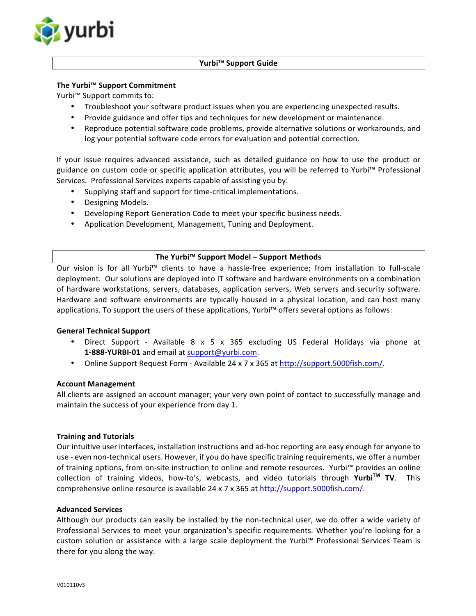

#### **Yurbi™ Support Guide**

### **The Yurbi™ Support Commitment**

Yurbi™ Support commits to:

- Troubleshoot your software product issues when you are experiencing unexpected results.
- Provide guidance and offer tips and techniques for new development or maintenance.
- Reproduce potential software code problems, provide alternative solutions or workarounds, and log your potential software code errors for evaluation and potential correction.

If your issue requires advanced assistance, such as detailed guidance on how to use the product or guidance on custom code or specific application attributes, you will be referred to Yurbi™ Professional Services. Professional Services experts capable of assisting you by:

- Supplying staff and support for time-critical implementations.
- Designing Models.
- Developing Report Generation Code to meet your specific business needs.
- Application Development, Management, Tuning and Deployment.

#### **The Yurbi™ Support Model – Support Methods**

Our vision is for all Yurbi<sup>™</sup> clients to have a hassle-free experience; from installation to full-scale deployment. Our solutions are deployed into IT software and hardware environments on a combination of hardware workstations, servers, databases, application servers, Web servers and security software. Hardware and software environments are typically housed in a physical location, and can host many applications. To support the users of these applications, Yurbi<sup>m</sup> offers several options as follows:

#### **General Technical Support**

- Direct Support Available 8 x 5 x 365 excluding US Federal Holidays via phone at **1-888-YURBI-01** and email at support@yurbi.com.
- Online Support Request Form Available 24 x 7 x 365 at http://support.5000fish.com/.

#### **Account Management**

All clients are assigned an account manager; your very own point of contact to successfully manage and maintain the success of your experience from day 1.

#### **Training and Tutorials**

Our intuitive user interfaces, installation instructions and ad-hoc reporting are easy enough for anyone to use - even non-technical users. However, if you do have specific training requirements, we offer a number of training options, from on-site instruction to online and remote resources. Yurbi™ provides an online collection of training videos, how-to's, webcasts, and video tutorials through **YurbiTM TV**. This comprehensive online resource is available 24 x 7 x 365 at http://support.5000fish.com/.

### **Advanced Services**

Although our products can easily be installed by the non-technical user, we do offer a wide variety of Professional Services to meet your organization's specific requirements. Whether you're looking for a custom solution or assistance with a large scale deployment the Yurbi™ Professional Services Team is there for you along the way.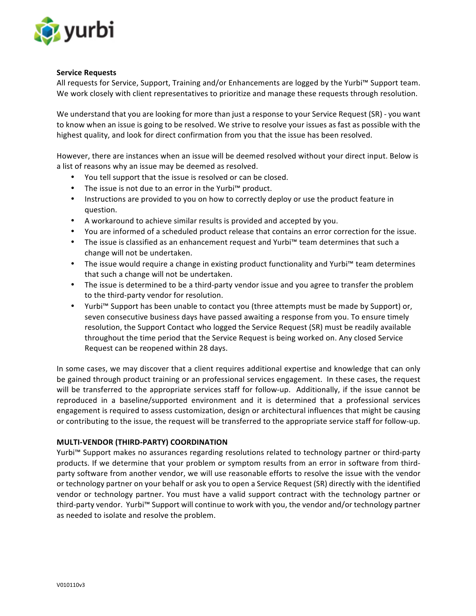

### **Service Requests**

All requests for Service, Support, Training and/or Enhancements are logged by the Yurbi™ Support team. We work closely with client representatives to prioritize and manage these requests through resolution.

We understand that you are looking for more than just a response to your Service Request (SR) - you want to know when an issue is going to be resolved. We strive to resolve your issues as fast as possible with the highest quality, and look for direct confirmation from you that the issue has been resolved.

However, there are instances when an issue will be deemed resolved without your direct input. Below is a list of reasons why an issue may be deemed as resolved.

- You tell support that the issue is resolved or can be closed.
- The issue is not due to an error in the Yurbi<sup>™</sup> product.
- Instructions are provided to you on how to correctly deploy or use the product feature in question.
- A workaround to achieve similar results is provided and accepted by you.
- You are informed of a scheduled product release that contains an error correction for the issue.
- The issue is classified as an enhancement request and Yurbi™ team determines that such a change will not be undertaken.
- The issue would require a change in existing product functionality and Yurbi™ team determines that such a change will not be undertaken.
- The issue is determined to be a third-party vendor issue and you agree to transfer the problem to the third-party vendor for resolution.
- Yurbi<sup>™</sup> Support has been unable to contact you (three attempts must be made by Support) or, seven consecutive business days have passed awaiting a response from you. To ensure timely resolution, the Support Contact who logged the Service Request (SR) must be readily available throughout the time period that the Service Request is being worked on. Any closed Service Request can be reopened within 28 days.

In some cases, we may discover that a client requires additional expertise and knowledge that can only be gained through product training or an professional services engagement. In these cases, the request will be transferred to the appropriate services staff for follow-up. Additionally, if the issue cannot be reproduced in a baseline/supported environment and it is determined that a professional services engagement is required to assess customization, design or architectural influences that might be causing or contributing to the issue, the request will be transferred to the appropriate service staff for follow-up.

# **MULTI-VENDOR (THIRD-PARTY) COORDINATION**

Yurbi<sup>™</sup> Support makes no assurances regarding resolutions related to technology partner or third-party products. If we determine that your problem or symptom results from an error in software from thirdparty software from another vendor, we will use reasonable efforts to resolve the issue with the vendor or technology partner on your behalf or ask you to open a Service Request (SR) directly with the identified vendor or technology partner. You must have a valid support contract with the technology partner or third-party vendor. Yurbi™ Support will continue to work with you, the vendor and/or technology partner as needed to isolate and resolve the problem.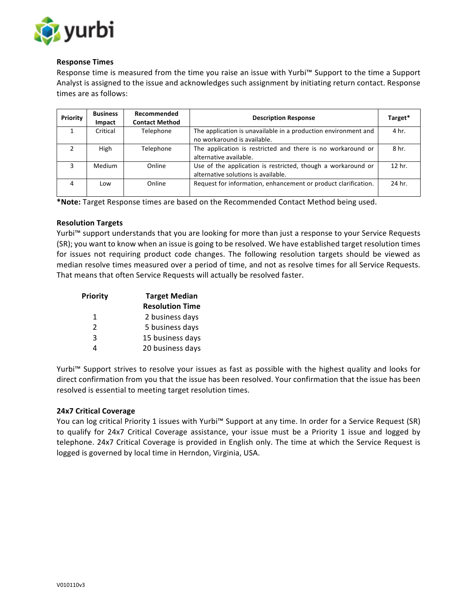

## **Response Times**

Response time is measured from the time you raise an issue with Yurbi™ Support to the time a Support Analyst is assigned to the issue and acknowledges such assignment by initiating return contact. Response times are as follows:

| Priority | <b>Business</b><br><b>Impact</b> | Recommended<br><b>Contact Method</b> | <b>Description Response</b>                                                                         | Target* |
|----------|----------------------------------|--------------------------------------|-----------------------------------------------------------------------------------------------------|---------|
|          | Critical                         | Telephone                            | The application is unavailable in a production environment and<br>no workaround is available.       | 4 hr.   |
|          | High                             | Telephone                            | The application is restricted and there is no workaround or<br>alternative available.               | 8 hr.   |
|          | <b>Medium</b>                    | Online                               | Use of the application is restricted, though a workaround or<br>alternative solutions is available. | 12 hr.  |
| 4        | Low                              | Online                               | Request for information, enhancement or product clarification.                                      | 24 hr.  |

\*Note: Target Response times are based on the Recommended Contact Method being used.

#### **Resolution Targets**

Yurbi<sup>™</sup> support understands that you are looking for more than just a response to your Service Requests (SR); you want to know when an issue is going to be resolved. We have established target resolution times for issues not requiring product code changes. The following resolution targets should be viewed as median resolve times measured over a period of time, and not as resolve times for all Service Requests. That means that often Service Requests will actually be resolved faster.

| Priority      | <b>Target Median</b>   |  |
|---------------|------------------------|--|
|               | <b>Resolution Time</b> |  |
| 1             | 2 business days        |  |
| $\mathcal{P}$ | 5 business days        |  |
| $\mathbf{3}$  | 15 business days       |  |
| Λ             | 20 business days       |  |

Yurbi<sup>™</sup> Support strives to resolve your issues as fast as possible with the highest quality and looks for direct confirmation from you that the issue has been resolved. Your confirmation that the issue has been resolved is essential to meeting target resolution times.

#### **24x7 Critical Coverage**

You can log critical Priority 1 issues with Yurbi™ Support at any time. In order for a Service Request (SR) to qualify for 24x7 Critical Coverage assistance, your issue must be a Priority 1 issue and logged by telephone. 24x7 Critical Coverage is provided in English only. The time at which the Service Request is logged is governed by local time in Herndon, Virginia, USA.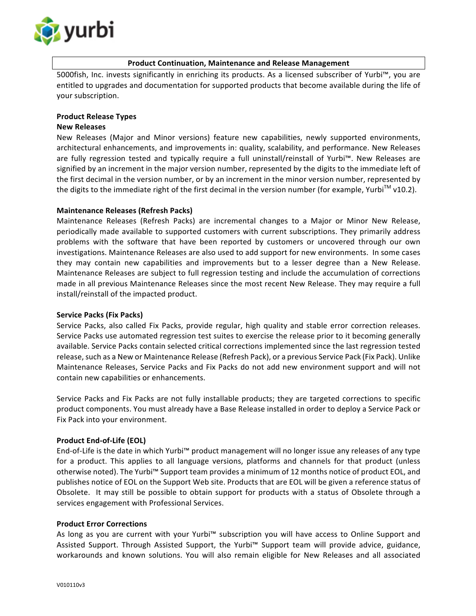

## **Product Continuation, Maintenance and Release Management**

5000fish, Inc. invests significantly in enriching its products. As a licensed subscriber of Yurbi™, you are entitled to upgrades and documentation for supported products that become available during the life of your subscription.

## **Product Release Types**

#### **New Releases**

New Releases (Major and Minor versions) feature new capabilities, newly supported environments, architectural enhancements, and improvements in: quality, scalability, and performance. New Releases are fully regression tested and typically require a full uninstall/reinstall of Yurbi™. New Releases are signified by an increment in the major version number, represented by the digits to the immediate left of the first decimal in the version number, or by an increment in the minor version number, represented by the digits to the immediate right of the first decimal in the version number (for example, Yurbi<sup>TM</sup> v10.2).

#### **Maintenance Releases (Refresh Packs)**

Maintenance Releases (Refresh Packs) are incremental changes to a Major or Minor New Release, periodically made available to supported customers with current subscriptions. They primarily address problems with the software that have been reported by customers or uncovered through our own investigations. Maintenance Releases are also used to add support for new environments. In some cases they may contain new capabilities and improvements but to a lesser degree than a New Release. Maintenance Releases are subject to full regression testing and include the accumulation of corrections made in all previous Maintenance Releases since the most recent New Release. They may require a full install/reinstall of the impacted product.

#### **Service Packs (Fix Packs)**

Service Packs, also called Fix Packs, provide regular, high quality and stable error correction releases. Service Packs use automated regression test suites to exercise the release prior to it becoming generally available. Service Packs contain selected critical corrections implemented since the last regression tested release, such as a New or Maintenance Release (Refresh Pack), or a previous Service Pack (Fix Pack). Unlike Maintenance Releases, Service Packs and Fix Packs do not add new environment support and will not contain new capabilities or enhancements.

Service Packs and Fix Packs are not fully installable products; they are targeted corrections to specific product components. You must already have a Base Release installed in order to deploy a Service Pack or Fix Pack into your environment.

# **Product End-of-Life (EOL)**

End-of-Life is the date in which Yurbi<sup>m</sup> product management will no longer issue any releases of any type for a product. This applies to all language versions, platforms and channels for that product (unless otherwise noted). The Yurbi™ Support team provides a minimum of 12 months notice of product EOL, and publishes notice of EOL on the Support Web site. Products that are EOL will be given a reference status of Obsolete. It may still be possible to obtain support for products with a status of Obsolete through a services engagement with Professional Services.

#### **Product Error Corrections**

As long as you are current with your Yurbi™ subscription you will have access to Online Support and Assisted Support. Through Assisted Support, the Yurbi<sup>™</sup> Support team will provide advice, guidance, workarounds and known solutions. You will also remain eligible for New Releases and all associated